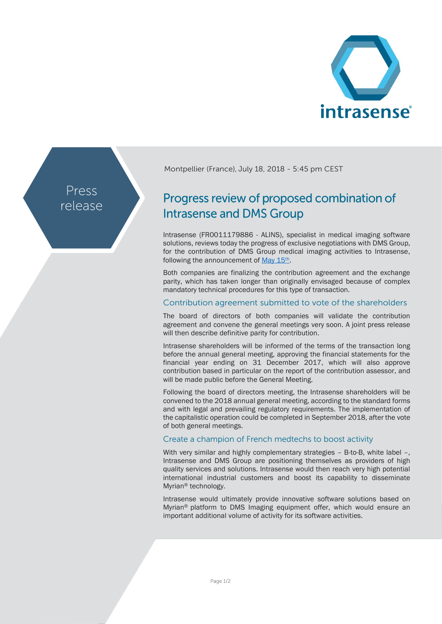

Press release Montpellier (France), July 18, 2018 - 5:45 pm CEST

# Progress review of proposed combination of **Intrasense and DMS Group**

Intrasense (FR0011179886 - ALINS), specialist in medical imaging software solutions, reviews today the progress of exclusive negotiations with DMS Group, for the contribution of DMS Group medical imaging activities to Intrasense, following the announcement o[f May 15](http://www.intrasense.fr/wp-content/uploads/2018/05/DMS-Intrasense_PR_Exclusive-negotiations_20180515_EN.pdf)th.

Both companies are finalizing the contribution agreement and the exchange parity, which has taken longer than originally envisaged because of complex mandatory technical procedures for this type of transaction.

## Contribution agreement submitted to vote of the shareholders

The board of directors of both companies will validate the contribution agreement and convene the general meetings very soon. A joint press release will then describe definitive parity for contribution.

Intrasense shareholders will be informed of the terms of the transaction long before the annual general meeting, approving the financial statements for the financial year ending on 31 December 2017, which will also approve contribution based in particular on the report of the contribution assessor, and will be made public before the General Meeting.

Following the board of directors meeting, the Intrasense shareholders will be convened to the 2018 annual general meeting, according to the standard forms and with legal and prevailing regulatory requirements. The implementation of the capitalistic operation could be completed in September 2018, after the vote of both general meetings.

## Create a champion of French medtechs to boost activity

With very similar and highly complementary strategies - B-to-B, white label -, Intrasense and DMS Group are positioning themselves as providers of high quality services and solutions. Intrasense would then reach very high potential international industrial customers and boost its capability to disseminate Myrian® technology.

Intrasense would ultimately provide innovative software solutions based on Myrian® platform to DMS Imaging equipment offer, which would ensure an important additional volume of activity for its software activities.